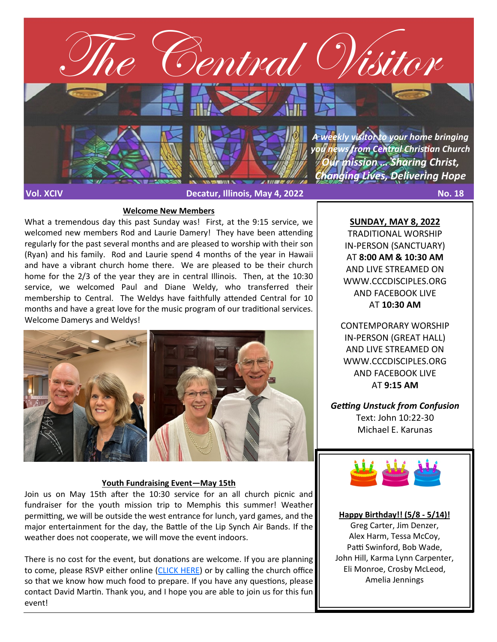

#### **Welcome New Members**

What a tremendous day this past Sunday was! First, at the 9:15 service, we welcomed new members Rod and Laurie Damery! They have been attending regularly for the past several months and are pleased to worship with their son (Ryan) and his family. Rod and Laurie spend 4 months of the year in Hawaii and have a vibrant church home there. We are pleased to be their church home for the 2/3 of the year they are in central Illinois. Then, at the 10:30 service, we welcomed Paul and Diane Weldy, who transferred their membership to Central. The Weldys have faithfully attended Central for 10 months and have a great love for the music program of our traditional services. Welcome Damerys and Weldys!



#### **Youth Fundraising Event—May 15th**

Join us on May 15th after the 10:30 service for an all church picnic and fundraiser for the youth mission trip to Memphis this summer! Weather permitting, we will be outside the west entrance for lunch, yard games, and the major entertainment for the day, the Battle of the Lip Synch Air Bands. If the weather does not cooperate, we will move the event indoors.

There is no cost for the event, but donations are welcome. If you are planning to come, please RSVP either online ([CLICK HERE\)](https://cccdisciples.shelbynextchms.com/external/form/b165b465-e317-4195-ba09-2db07133e8e1) or by calling the church office so that we know how much food to prepare. If you have any questions, please contact David Martin. Thank you, and I hope you are able to join us for this fun event!

**SUNDAY, MAY 8, 2022** TRADITIONAL WORSHIP IN-PERSON (SANCTUARY) AT **8:00 AM & 10:30 AM**  AND LIVE STREAMED ON WWW.CCCDISCIPLES.ORG AND FACEBOOK LIVE AT **10:30 AM**

CONTEMPORARY WORSHIP IN-PERSON (GREAT HALL) AND LIVE STREAMED ON WWW.CCCDISCIPLES.ORG AND FACEBOOK LIVE AT **9:15 AM**

*Getting Unstuck from Confusion* Text: John 10:22-30 Michael E. Karunas



#### **Happy Birthday!! (5/8 - 5/14)!**

Greg Carter, Jim Denzer, Alex Harm, Tessa McCoy, Patti Swinford, Bob Wade, John Hill, Karma Lynn Carpenter, Eli Monroe, Crosby McLeod, Amelia Jennings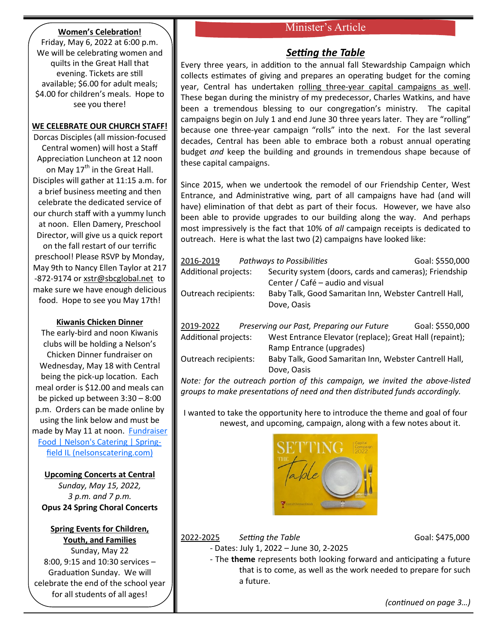# Minister's Article

# **Women's Celebration!**

Friday, May 6, 2022 at 6:00 p.m. We will be celebrating women and quilts in the Great Hall that evening. Tickets are still available; \$6.00 for adult meals; \$4.00 for children's meals. Hope to see you there!

# **WE CELEBRATE OUR CHURCH STAFF!**

Dorcas Disciples (all mission-focused Central women) will host a Staff Appreciation Luncheon at 12 noon on May  $17<sup>th</sup>$  in the Great Hall. Disciples will gather at 11:15 a.m. for a brief business meeting and then celebrate the dedicated service of our church staff with a yummy lunch at noon. Ellen Damery, Preschool Director, will give us a quick report on the fall restart of our terrific preschool! Please RSVP by Monday, May 9th to Nancy Ellen Taylor at 217 -872-9174 or [xstr@sbcglobal.net](mailto:xstr@sbcglobal.net) to make sure we have enough delicious food. Hope to see you May 17th!

# **Kiwanis Chicken Dinner**

The early-bird and noon Kiwanis clubs will be holding a Nelson's Chicken Dinner fundraiser on Wednesday, May 18 with Central being the pick-up location. Each meal order is \$12.00 and meals can be picked up between 3:30 – 8:00 p.m. Orders can be made online by using the link below and must be made by May 11 at noon. **Fundraiser** [Food | Nelson's Catering | Spring](https://nelsonscatering.com/kiwanis)[field IL \(nelsonscatering.com\)](https://nelsonscatering.com/kiwanis)

# **Upcoming Concerts at Central**

*Sunday, May 15, 2022, 3 p.m. and 7 p.m.* **Opus 24 Spring Choral Concerts**

# **Spring Events for Children, Youth, and Families**

Sunday, May 22 8:00, 9:15 and 10:30 services – Graduation Sunday. We will celebrate the end of the school year for all students of all ages!

# *Setting the Table*

Every three years, in addition to the annual fall Stewardship Campaign which collects estimates of giving and prepares an operating budget for the coming year, Central has undertaken rolling three-year capital campaigns as well. These began during the ministry of my predecessor, Charles Watkins, and have been a tremendous blessing to our congregation's ministry. The capital campaigns begin on July 1 and end June 30 three years later. They are "rolling" because one three-year campaign "rolls" into the next. For the last several decades, Central has been able to embrace both a robust annual operating budget *and* keep the building and grounds in tremendous shape because of these capital campaigns.

Since 2015, when we undertook the remodel of our Friendship Center, West Entrance, and Administrative wing, part of all campaigns have had (and will have) elimination of that debt as part of their focus. However, we have also been able to provide upgrades to our building along the way. And perhaps most impressively is the fact that 10% of *all* campaign receipts is dedicated to outreach. Here is what the last two (2) campaigns have looked like:

| 2016-2019            |  | <b>Pathways to Possibilities</b>                        | Goal: \$550,000 |
|----------------------|--|---------------------------------------------------------|-----------------|
| Additional projects: |  | Security system (doors, cards and cameras); Friendship  |                 |
|                      |  | Center / Café – audio and visual                        |                 |
| Outreach recipients: |  | Baby Talk, Good Samaritan Inn, Webster Cantrell Hall,   |                 |
|                      |  | Dove, Oasis                                             |                 |
|                      |  |                                                         |                 |
| 2019-2022            |  | Preserving our Past, Preparing our Future               | Goal: \$550,000 |
| Additional projects: |  | West Entrance Elevator (replace); Great Hall (repaint); |                 |
|                      |  | Ramp Entrance (upgrades)                                |                 |
| Outreach recipients: |  | Baby Talk, Good Samaritan Inn, Webster Cantrell Hall,   |                 |

Dove, Oasis *Note: for the outreach portion of this campaign, we invited the above-listed groups to make presentations of need and then distributed funds accordingly.* 

I wanted to take the opportunity here to introduce the theme and goal of four newest, and upcoming, campaign, along with a few notes about it.



# 2022-2025 *Setting the Table* Goal: \$475,000

- Dates: July 1, 2022 – June 30, 2-2025

- The **theme** represents both looking forward and anticipating a future that is to come, as well as the work needed to prepare for such a future.

*(continued on page 3…)*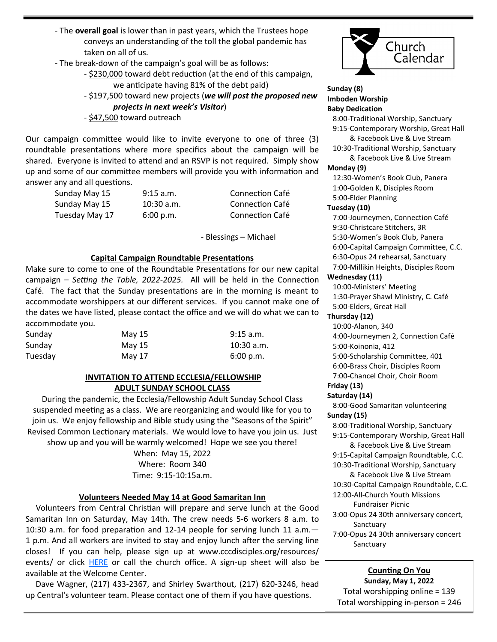- The **overall goal** is lower than in past years, which the Trustees hope conveys an understanding of the toll the global pandemic has taken on all of us.
- The break-down of the campaign's goal will be as follows:
	- \$230,000 toward debt reduction (at the end of this campaign, we anticipate having 81% of the debt paid)
	- \$197,500 toward new projects (*we will post the proposed new projects in next week's Visitor*)
	- \$47,500 toward outreach

Our campaign committee would like to invite everyone to one of three (3) roundtable presentations where more specifics about the campaign will be shared. Everyone is invited to attend and an RSVP is not required. Simply show up and some of our committee members will provide you with information and answer any and all questions.

| Sunday May 15  | $9:15$ a.m.  | Connection Café |
|----------------|--------------|-----------------|
| Sunday May 15  | $10:30$ a.m. | Connection Café |
| Tuesday May 17 | 6:00 p.m.    | Connection Café |

*-* Blessings – Michael

### **Capital Campaign Roundtable Presentations**

Make sure to come to one of the Roundtable Presentations for our new capital campaign – *Setting the Table, 2022-2025.* All will be held in the Connection Café. The fact that the Sunday presentations are in the morning is meant to accommodate worshippers at our different services. If you cannot make one of the dates we have listed, please contact the office and we will do what we can to accommodate you.

| Sunday  | May 15 | $9:15$ a.m.  |
|---------|--------|--------------|
| Sunday  | May 15 | $10:30$ a.m. |
| Tuesday | May 17 | 6:00 p.m.    |

# **INVITATION TO ATTEND ECCLESIA/FELLOWSHIP ADULT SUNDAY SCHOOL CLASS**

During the pandemic, the Ecclesia/Fellowship Adult Sunday School Class suspended meeting as a class. We are reorganizing and would like for you to join us. We enjoy fellowship and Bible study using the "Seasons of the Spirit" Revised Common Lectionary materials. We would love to have you join us. Just show up and you will be warmly welcomed! Hope we see you there!

> When: May 15, 2022 Where: Room 340 Time: 9:15-10:15a.m.

# **Volunteers Needed May 14 at Good Samaritan Inn**

 Volunteers from Central Christian will prepare and serve lunch at the Good Samaritan Inn on Saturday, May 14th. The crew needs 5-6 workers 8 a.m. to 10:30 a.m. for food preparation and 12-14 people for serving lunch 11 a.m.— 1 p.m. And all workers are invited to stay and enjoy lunch after the serving line closes! If you can help, please sign up at www.cccdisciples.org/resources/ events/ or click [HERE](https://cccdisciples.shelbynextchms.com/external/form/38e9100d-10b1-486f-9f99-11ac163a87a2) or call the church office. A sign-up sheet will also be available at the Welcome Center.

 Dave Wagner, (217) 433-2367, and Shirley Swarthout, (217) 620-3246, head up Central's volunteer team. Please contact one of them if you have questions.



#### **Sunday (8) Imboden Worship Baby Dedication**

 8:00-Traditional Worship, Sanctuary 9:15-Contemporary Worship, Great Hall

 & Facebook Live & Live Stream 10:30-Traditional Worship, Sanctuary & Facebook Live & Live Stream

#### **Monday (9)**

 12:30-Women's Book Club, Panera 1:00-Golden K, Disciples Room 5:00-Elder Planning

#### **Tuesday (10)**

 7:00-Journeymen, Connection Café 9:30-Christcare Stitchers, 3R 5:30-Women's Book Club, Panera 6:00-Capital Campaign Committee, C.C. 6:30-Opus 24 rehearsal, Sanctuary 7:00-Millikin Heights, Disciples Room

#### **Wednesday (11)**

 10:00-Ministers' Meeting 1:30-Prayer Shawl Ministry, C. Café 5:00-Elders, Great Hall

#### **Thursday (12)**

 10:00-Alanon, 340 4:00-Journeymen 2, Connection Café 5:00-Koinonia, 412 5:00-Scholarship Committee, 401 6:00-Brass Choir, Disciples Room 7:00-Chancel Choir, Choir Room

**Friday (13)**

# **Saturday (14)**

 8:00-Good Samaritan volunteering **Sunday (15)**

 8:00-Traditional Worship, Sanctuary 9:15-Contemporary Worship, Great Hall & Facebook Live & Live Stream

 9:15-Capital Campaign Roundtable, C.C. 10:30-Traditional Worship, Sanctuary

 & Facebook Live & Live Stream 10:30-Capital Campaign Roundtable, C.C.

 12:00-All-Church Youth Missions Fundraiser Picnic

- 3:00-Opus 24 30th anniversary concert, Sanctuary
- 7:00-Opus 24 30th anniversary concert **Sanctuary**

#### **Counting On You Sunday, May 1, 2022**

Total worshipping online = 139 Total worshipping in-person = 246